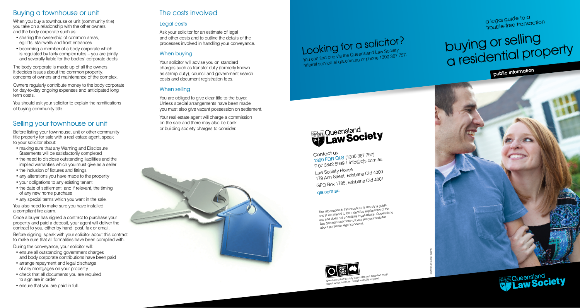## Buying a townhouse or unit

When you buy a townhouse or unit (community title) you take on a relationship with the other owners and the body corporate such as:

- sharing the ownership of common areas. eg lifts, stairwells and front entrances
- becoming a member of a body corporate which is regulated by fairly complex rules – you are jointly and severally liable for the bodies' corporate debts.

The body corporate is made up of all the owners. It decides issues about the common property, concerns of owners and maintenance of the complex.

Owners regularly contribute money to the body corporate for day-to-day ongoing expenses and anticipated long term costs.

You should ask your solicitor to explain the ramifications of buying community title.

## Selling your townhouse or unit

Before listing your townhouse, unit or other community title property for sale with a real estate agent, speak to your solicitor about:

- making sure that any Warning and Disclosure Statements will be satisfactorily completed
- the need to disclose outstanding liabilities and the implied warranties which you must give as a seller
- the inclusion of fixtures and fittings
- any alterations you have made to the property
- your obligations to any existing tenant
- the date of settlement, and if relevant, the timing of any new home purchase
- any special terms which you want in the sale.

You also need to make sure you have installed a compliant fire alarm.

Once a buyer has signed a contract to purchase your property and paid a deposit, your agent will deliver the contract to you, either by hand, post, fax or email.

Before signing, speak with your solicitor about this contract to make sure that all formalities have been complied with.

During the conveyance, your solicitor will:

- ensure all outstanding government charges and body corporate contributions have been paid
- arrange repayment and legal discharge of any mortgages on your property
- check that all documents you are required to sign are in order
- ensure that you are paid in full.

## The costs involved

#### Legal costs

Ask your solicitor for an estimate of legal and other costs and to outline the details of the processes involved in handling your conveyance.

#### When buying

Your solicitor will advise you on standard charges such as transfer duty (formerly known as stamp duty), council and government search costs and document registration fees.

#### When selling

You are obliged to give clear title to the buyer. Unless special arrangements have been made you must also give vacant possession on settlement.

Your real estate agent will charge a commission on the sale and there may also be bank or building society charges to consider.



Looking for a solicitor? You can find one via the Queensland Law Society referral service at qls.com.au or phone 1300 367 757. a legal guide to a trouble-free transaction

# buying or selling a residential property

public information



Contact us<br>1300 FOR QLS (1300 367 757)<br>1300 FOR Queen Linfo@als.com F 07 3842 5999 | info@qls.com.au Law Society House 179 Ann Street, Brisbane Qld 4000 GPO Box 1785, Brisbane Qld 4001

#### <sup>q</sup>ls.com.au

*The information in this brochure is merely a guide and is not meant to be a detailed explanation of the law and does not constitute legal advice. Queenslan<sup>d</sup> Law Society recommends you see your solicitor about particular legal concerns.*



Queensland Law Society is proud to use Australian made where is care where y to prove in use musiciale.<br>paper, which is carbon neutral and 50% recycled.